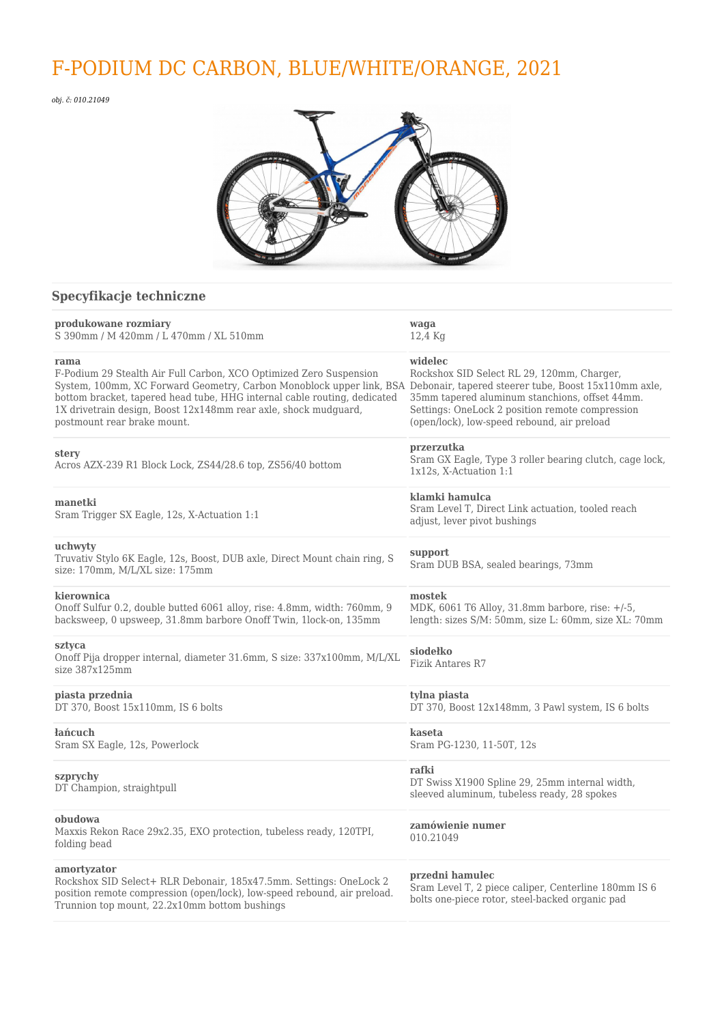# F-PODIUM DC CARBON, BLUE/WHITE/ORANGE, 2021

*obj. č: 010.21049*



# **Specyfikacje techniczne**

| produkowane rozmiary<br>S 390mm / M 420mm / L 470mm / XL 510mm                                                                                                                                                                                                                                                                                                                        | waqa<br>12,4 Kg                                                                                                                                                                                           |
|---------------------------------------------------------------------------------------------------------------------------------------------------------------------------------------------------------------------------------------------------------------------------------------------------------------------------------------------------------------------------------------|-----------------------------------------------------------------------------------------------------------------------------------------------------------------------------------------------------------|
| rama<br>F-Podium 29 Stealth Air Full Carbon, XCO Optimized Zero Suspension<br>System, 100mm, XC Forward Geometry, Carbon Monoblock upper link, BSA Debonair, tapered steerer tube, Boost 15x110mm axle,<br>bottom bracket, tapered head tube, HHG internal cable routing, dedicated<br>1X drivetrain design, Boost 12x148mm rear axle, shock mudguard,<br>postmount rear brake mount. | widelec<br>Rockshox SID Select RL 29, 120mm, Charger,<br>35mm tapered aluminum stanchions, offset 44mm.<br>Settings: OneLock 2 position remote compression<br>(open/lock), low-speed rebound, air preload |
| stery<br>Acros AZX-239 R1 Block Lock, ZS44/28.6 top, ZS56/40 bottom                                                                                                                                                                                                                                                                                                                   | przerzutka<br>Sram GX Eagle, Type 3 roller bearing clutch, cage lock,<br>1x12s, X-Actuation 1:1                                                                                                           |
| manetki<br>Sram Trigger SX Eagle, 12s, X-Actuation 1:1                                                                                                                                                                                                                                                                                                                                | klamki hamulca<br>Sram Level T, Direct Link actuation, tooled reach<br>adjust, lever pivot bushings                                                                                                       |
| uchwyty<br>Truvativ Stylo 6K Eagle, 12s, Boost, DUB axle, Direct Mount chain ring, S<br>size: 170mm, M/L/XL size: 175mm                                                                                                                                                                                                                                                               | support<br>Sram DUB BSA, sealed bearings, 73mm                                                                                                                                                            |
| kierownica<br>Onoff Sulfur 0.2, double butted 6061 alloy, rise: 4.8mm, width: 760mm, 9<br>backsweep, 0 upsweep, 31.8mm barbore Onoff Twin, 1lock-on, 135mm                                                                                                                                                                                                                            | mostek<br>MDK, 6061 T6 Alloy, 31.8mm barbore, rise: +/-5,<br>length: sizes S/M: 50mm, size L: 60mm, size XL: 70mm                                                                                         |
| sztyca<br>Onoff Pija dropper internal, diameter 31.6mm, S size: 337x100mm, M/L/XL<br>size 387x125mm                                                                                                                                                                                                                                                                                   | siodełko<br>Fizik Antares R7                                                                                                                                                                              |
| piasta przednia<br>DT 370, Boost 15x110mm, IS 6 bolts                                                                                                                                                                                                                                                                                                                                 | tylna piasta<br>DT 370, Boost 12x148mm, 3 Pawl system, IS 6 bolts                                                                                                                                         |
| łańcuch<br>Sram SX Eagle, 12s, Powerlock                                                                                                                                                                                                                                                                                                                                              | kaseta<br>Sram PG-1230, 11-50T, 12s                                                                                                                                                                       |
| szprychy<br>DT Champion, straightpull                                                                                                                                                                                                                                                                                                                                                 | rafki<br>DT Swiss X1900 Spline 29, 25mm internal width,<br>sleeved aluminum, tubeless ready, 28 spokes                                                                                                    |
| obudowa<br>Maxxis Rekon Race 29x2.35, EXO protection, tubeless ready, 120TPI,<br>folding bead                                                                                                                                                                                                                                                                                         | zamówienie numer<br>010.21049                                                                                                                                                                             |
| amortyzator<br>Rockshox SID Select+ RLR Debonair, 185x47.5mm. Settings: OneLock 2<br>position remote compression (open/lock), low-speed rebound, air preload.<br>Trunnion top mount, 22.2x10mm bottom bushings                                                                                                                                                                        | przedni hamulec<br>Sram Level T, 2 piece caliper, Centerline 180mm IS 6<br>bolts one-piece rotor, steel-backed organic pad                                                                                |